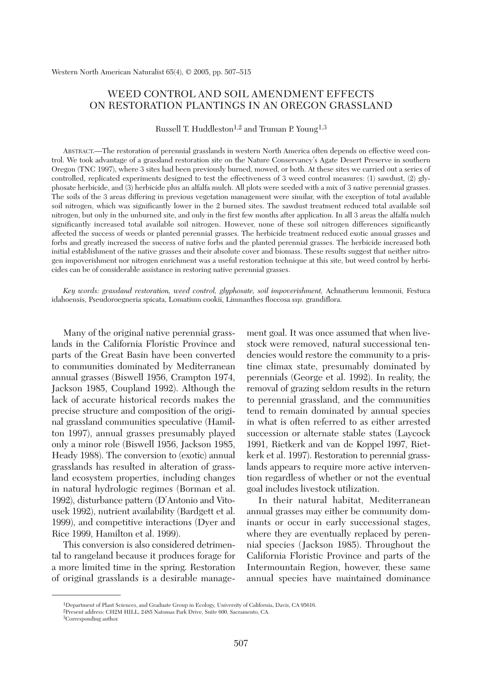# WEED CONTROL AND SOIL AMENDMENT EFFECTS ON RESTORATION PLANTINGS IN AN OREGON GRASSLAND

Russell T. Huddleston<sup>1,2</sup> and Truman P. Young<sup>1,3</sup>

ABSTRACT.—The restoration of perennial grasslands in western North America often depends on effective weed control. We took advantage of a grassland restoration site on the Nature Conservancy's Agate Desert Preserve in southern Oregon (TNC 1997), where 3 sites had been previously burned, mowed, or both. At these sites we carried out a series of controlled, replicated experiments designed to test the effectiveness of 3 weed control measures: (1) sawdust, (2) glyphosate herbicide, and (3) herbicide plus an alfalfa mulch. All plots were seeded with a mix of 3 native perennial grasses. The soils of the 3 areas differing in previous vegetation management were similar, with the exception of total available soil nitrogen, which was significantly lower in the 2 burned sites. The sawdust treatment reduced total available soil nitrogen, but only in the unburned site, and only in the first few months after application. In all 3 areas the alfalfa mulch significantly increased total available soil nitrogen. However, none of these soil nitrogen differences significantly affected the success of weeds or planted perennial grasses. The herbicide treatment reduced exotic annual grasses and forbs and greatly increased the success of native forbs and the planted perennial grasses. The herbicide increased both initial establishment of the native grasses and their absolute cover and biomass. These results suggest that neither nitrogen impoverishment nor nitrogen enrichment was a useful restoration technique at this site, but weed control by herbicides can be of considerable assistance in restoring native perennial grasses.

*Key words: grassland restoration, weed control, glyphosate, soil impoverishment,* Achnatherum lemmonii, Festuca idahoensis, Pseudoroegneria spicata, Lomatium cookii, Limnanthes floccosa *ssp.* grandiflora.

Many of the original native perennial grasslands in the California Floristic Province and parts of the Great Basin have been converted to communities dominated by Mediterranean annual grasses (Biswell 1956, Crampton 1974, Jackson 1985, Coupland 1992). Although the lack of accurate historical records makes the precise structure and composition of the original grassland communities speculative (Hamilton 1997), annual grasses presumably played only a minor role (Biswell 1956, Jackson 1985, Heady 1988). The conversion to (exotic) annual grasslands has resulted in alteration of grassland ecosystem properties, including changes in natural hydrologic regimes (Borman et al. 1992), disturbance pattern (D'Antonio and Vitousek 1992), nutrient availability (Bardgett et al. 1999), and competitive interactions (Dyer and Rice 1999, Hamilton et al. 1999).

This conversion is also considered detrimental to rangeland because it produces forage for a more limited time in the spring. Restoration of original grasslands is a desirable management goal. It was once assumed that when livestock were removed, natural successional tendencies would restore the community to a pristine climax state, presumably dominated by perennials (George et al. 1992). In reality, the removal of grazing seldom results in the return to perennial grassland, and the communities tend to remain dominated by annual species in what is often referred to as either arrested succession or alternate stable states (Laycock 1991, Rietkerk and van de Koppel 1997, Rietkerk et al. 1997). Restoration to perennial grasslands appears to require more active intervention regardless of whether or not the eventual goal includes livestock utilization.

In their natural habitat, Mediterranean annual grasses may either be community dominants or occur in early successional stages, where they are eventually replaced by perennial species (Jackson 1985). Throughout the California Floristic Province and parts of the Intermountain Region, however, these same annual species have maintained dominance

<sup>1</sup>Department of Plant Sciences, and Graduate Group in Ecology, University of California, Davis, CA 95616. 2Present address: CH2M HILL, 2485 Natomas Park Drive, Suite 600, Sacramento, CA.

<sup>3</sup>Corresponding author.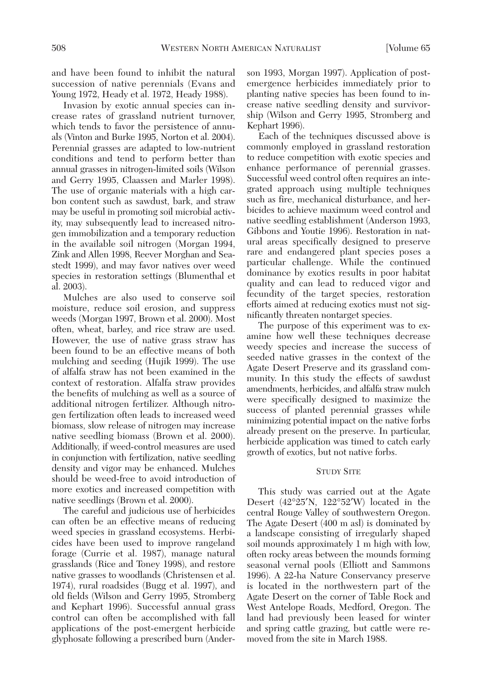and have been found to inhibit the natural succession of native perennials (Evans and Young 1972, Heady et al. 1972, Heady 1988).

Invasion by exotic annual species can increase rates of grassland nutrient turnover, which tends to favor the persistence of annuals (Vinton and Burke 1995, Norton et al. 2004). Perennial grasses are adapted to low-nutrient conditions and tend to perform better than annual grasses in nitrogen-limited soils (Wilson and Gerry 1995, Claassen and Marler 1998). The use of organic materials with a high carbon content such as sawdust, bark, and straw may be useful in promoting soil microbial activity, may subsequently lead to increased nitrogen immobilization and a temporary reduction in the available soil nitrogen (Morgan 1994, Zink and Allen 1998, Reever Morghan and Seastedt 1999), and may favor natives over weed species in restoration settings (Blumenthal et al. 2003).

Mulches are also used to conserve soil moisture, reduce soil erosion, and suppress weeds (Morgan 1997, Brown et al. 2000). Most often, wheat, barley, and rice straw are used. However, the use of native grass straw has been found to be an effective means of both mulching and seeding (Hujik 1999). The use of alfalfa straw has not been examined in the context of restoration. Alfalfa straw provides the benefits of mulching as well as a source of additional nitrogen fertilizer. Although nitrogen fertilization often leads to increased weed biomass, slow release of nitrogen may increase native seedling biomass (Brown et al. 2000). Additionally, if weed-control measures are used in conjunction with fertilization, native seedling density and vigor may be enhanced. Mulches should be weed-free to avoid introduction of more exotics and increased competition with native seedlings (Brown et al. 2000).

The careful and judicious use of herbicides can often be an effective means of reducing weed species in grassland ecosystems. Herbicides have been used to improve rangeland forage (Currie et al. 1987), manage natural grasslands (Rice and Toney 1998), and restore native grasses to woodlands (Christensen et al. 1974), rural roadsides (Bugg et al. 1997), and old fields (Wilson and Gerry 1995, Stromberg and Kephart 1996). Successful annual grass control can often be accomplished with fall applications of the post-emergent herbicide glyphosate following a prescribed burn (Ander-

son 1993, Morgan 1997). Application of postemergence herbicides immediately prior to planting native species has been found to increase native seedling density and survivorship (Wilson and Gerry 1995, Stromberg and Kephart 1996).

Each of the techniques discussed above is commonly employed in grassland restoration to reduce competition with exotic species and enhance performance of perennial grasses. Successful weed control often requires an integrated approach using multiple techniques such as fire, mechanical disturbance, and herbicides to achieve maximum weed control and native seedling establishment (Anderson 1993, Gibbons and Youtie 1996). Restoration in natural areas specifically designed to preserve rare and endangered plant species poses a particular challenge. While the continued dominance by exotics results in poor habitat quality and can lead to reduced vigor and fecundity of the target species, restoration efforts aimed at reducing exotics must not significantly threaten nontarget species.

The purpose of this experiment was to examine how well these techniques decrease weedy species and increase the success of seeded native grasses in the context of the Agate Desert Preserve and its grassland community. In this study the effects of sawdust amendments, herbicides, and alfalfa straw mulch were specifically designed to maximize the success of planted perennial grasses while minimizing potential impact on the native forbs already present on the preserve. In particular, herbicide application was timed to catch early growth of exotics, but not native forbs.

## STUDY SITE

This study was carried out at the Agate Desert (42°25′N, 122°52′W) located in the central Rouge Valley of southwestern Oregon. The Agate Desert (400 m asl) is dominated by a landscape consisting of irregularly shaped soil mounds approximately 1 m high with low, often rocky areas between the mounds forming seasonal vernal pools (Elliott and Sammons 1996). A 22-ha Nature Conservancy preserve is located in the northwestern part of the Agate Desert on the corner of Table Rock and West Antelope Roads, Medford, Oregon. The land had previously been leased for winter and spring cattle grazing, but cattle were removed from the site in March 1988.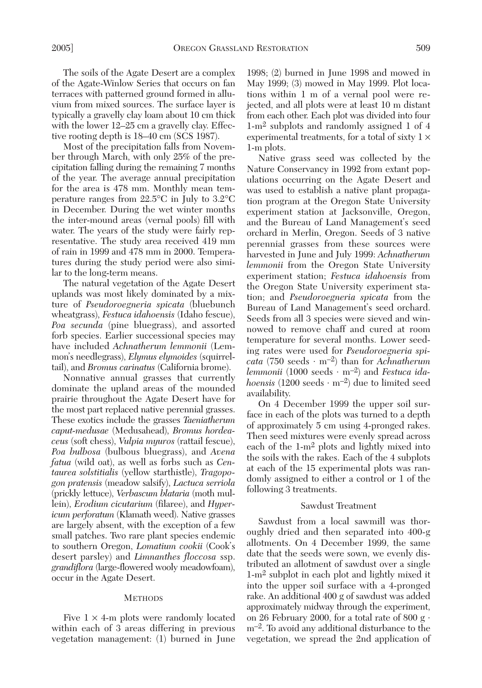The soils of the Agate Desert are a complex of the Agate-Winlow Series that occurs on fan terraces with patterned ground formed in alluvium from mixed sources. The surface layer is typically a gravelly clay loam about 10 cm thick with the lower 12–25 cm a gravelly clay. Effective rooting depth is 18–40 cm (SCS 1987).

Most of the precipitation falls from November through March, with only 25% of the precipitation falling during the remaining 7 months of the year. The average annual precipitation for the area is 478 mm. Monthly mean temperature ranges from 22.5°C in July to 3.2°C in December. During the wet winter months the inter-mound areas (vernal pools) fill with water. The years of the study were fairly representative. The study area received 419 mm of rain in 1999 and 478 mm in 2000. Temperatures during the study period were also similar to the long-term means.

The natural vegetation of the Agate Desert uplands was most likely dominated by a mixture of *Pseudoroegneria spicata* (bluebunch wheatgrass), *Festuca idahoensis* (Idaho fescue), *Poa secunda* (pine bluegrass), and assorted forb species. Earlier successional species may have included *Achnatherum lemmonii* (Lemmon's needlegrass), *Elymus elymoides* (squirreltail), and *Bromus carinatus* (California brome).

Nonnative annual grasses that currently dominate the upland areas of the mounded prairie throughout the Agate Desert have for the most part replaced native perennial grasses. These exotics include the grasses *Taeniatherum caput-medusae* (Medusahead), *Bromus hordeaceus* (soft chess), *Vulpia myuros* (rattail fescue), *Poa bulbosa* (bulbous bluegrass), and *Avena fatua* (wild oat), as well as forbs such as *Centaurea solstitialis* (yellow starthistle), *Tragopogon pratensis* (meadow salsify), *Lactuca serriola* (prickly lettuce), *Verbascum blataria* (moth mullein), *Erodium cicutarium* (filaree), and *Hypericum perforatum* (Klamath weed). Native grasses are largely absent, with the exception of a few small patches. Two rare plant species endemic to southern Oregon, *Lomatium cookii* (Cook's desert parsley) and *Limnanthes floccosa* ssp. *grandiflora* (large-flowered wooly meadowfoam), occur in the Agate Desert.

#### **METHODS**

Five  $1 \times 4$ -m plots were randomly located within each of 3 areas differing in previous vegetation management: (1) burned in June 1998; (2) burned in June 1998 and mowed in May 1999; (3) mowed in May 1999. Plot locations within 1 m of a vernal pool were rejected, and all plots were at least 10 m distant from each other. Each plot was divided into four 1-m2 subplots and randomly assigned 1 of 4 experimental treatments, for a total of sixty  $1 \times$ 1-m plots.

Native grass seed was collected by the Nature Conservancy in 1992 from extant populations occurring on the Agate Desert and was used to establish a native plant propagation program at the Oregon State University experiment station at Jacksonville, Oregon, and the Bureau of Land Management's seed orchard in Merlin, Oregon. Seeds of 3 native perennial grasses from these sources were harvested in June and July 1999: *Achnatherum lemmonii* from the Oregon State University experiment station; *Festuca idahoensis* from the Oregon State University experiment station; and *Pseudoroegneria spicata* from the Bureau of Land Management's seed orchard. Seeds from all 3 species were sieved and winnowed to remove chaff and cured at room temperature for several months. Lower seeding rates were used for *Pseudoroegneria spicata* (750 seeds ⋅ m–2) than for *Achnatherum lemmonii* (1000 seeds ⋅ m–2) and *Festuca idahoensis*  $(1200 \text{ seeds} \cdot \text{m}^{-2})$  due to limited seed availability.

On 4 December 1999 the upper soil surface in each of the plots was turned to a depth of approximately 5 cm using 4-pronged rakes. Then seed mixtures were evenly spread across each of the 1-m2 plots and lightly mixed into the soils with the rakes. Each of the 4 subplots at each of the 15 experimental plots was randomly assigned to either a control or 1 of the following 3 treatments.

### Sawdust Treatment

Sawdust from a local sawmill was thoroughly dried and then separated into 400-g allotments. On 4 December 1999, the same date that the seeds were sown, we evenly distributed an allotment of sawdust over a single 1-m2 subplot in each plot and lightly mixed it into the upper soil surface with a 4-pronged rake. An additional 400 g of sawdust was added approximately midway through the experiment, on 26 February 2000, for a total rate of 800 g  $\cdot$ m–2. To avoid any additional disturbance to the vegetation, we spread the 2nd application of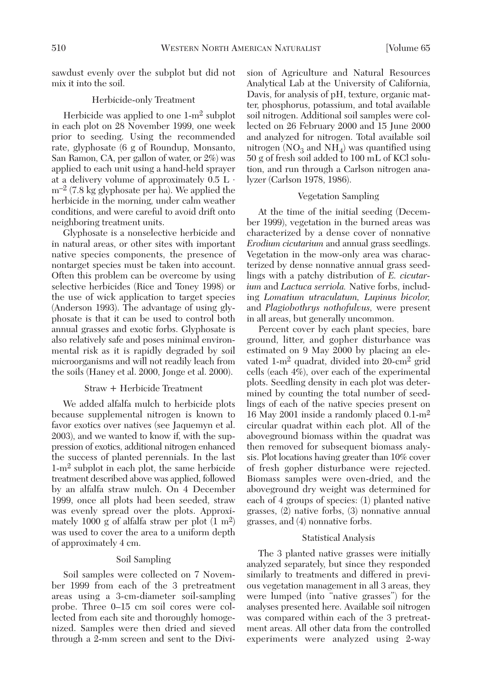sawdust evenly over the subplot but did not mix it into the soil.

## Herbicide-only Treatment

Herbicide was applied to one 1-m2 subplot in each plot on 28 November 1999, one week prior to seeding. Using the recommended rate, glyphosate (6 g of Roundup, Monsanto, San Ramon, CA, per gallon of water, or 2%) was applied to each unit using a hand-held sprayer at a delivery volume of approximately  $0.5$  L  $\cdot$  $\rm m^{-2}$  (7.8 kg glyphosate per ha). We applied the herbicide in the morning, under calm weather conditions, and were careful to avoid drift onto neighboring treatment units.

Glyphosate is a nonselective herbicide and in natural areas, or other sites with important native species components, the presence of nontarget species must be taken into account. Often this problem can be overcome by using selective herbicides (Rice and Toney 1998) or the use of wick application to target species (Anderson 1993). The advantage of using glyphosate is that it can be used to control both annual grasses and exotic forbs. Glyphosate is also relatively safe and poses minimal environmental risk as it is rapidly degraded by soil microorganisms and will not readily leach from the soils (Haney et al. 2000, Jonge et al. 2000).

## Straw + Herbicide Treatment

We added alfalfa mulch to herbicide plots because supplemental nitrogen is known to favor exotics over natives (see Jaquemyn et al. 2003), and we wanted to know if, with the suppression of exotics, additional nitrogen enhanced the success of planted perennials. In the last 1-m2 subplot in each plot, the same herbicide treatment described above was applied, followed by an alfalfa straw mulch. On 4 December 1999, once all plots had been seeded, straw was evenly spread over the plots. Approximately 1000 g of alfalfa straw per plot  $(1 \text{ m}^2)$ was used to cover the area to a uniform depth of approximately 4 cm.

## Soil Sampling

Soil samples were collected on 7 November 1999 from each of the 3 pretreatment areas using a 3-cm-diameter soil-sampling probe. Three 0–15 cm soil cores were collected from each site and thoroughly homogenized. Samples were then dried and sieved through a 2-mm screen and sent to the Division of Agriculture and Natural Resources Analytical Lab at the University of California, Davis, for analysis of pH, texture, organic matter, phosphorus, potassium, and total available soil nitrogen. Additional soil samples were collected on 26 February 2000 and 15 June 2000 and analyzed for nitrogen. Total available soil nitrogen ( $NO<sub>3</sub>$  and  $NH<sub>4</sub>$ ) was quantified using 50 g of fresh soil added to 100 mL of KCl solution, and run through a Carlson nitrogen analyzer (Carlson 1978, 1986).

#### Vegetation Sampling

At the time of the initial seeding (December 1999), vegetation in the burned areas was characterized by a dense cover of nonnative *Erodium cicutarium* and annual grass seedlings. Vegetation in the mow-only area was characterized by dense nonnative annual grass seedlings with a patchy distribution of *E. cicutarium* and *Lactuca serriola.* Native forbs, including *Lomatium utraculatum, Lupinus bicolor,* and *Plagiobothrys nothofulvus,* were present in all areas, but generally uncommon.

Percent cover by each plant species, bare ground, litter, and gopher disturbance was estimated on 9 May 2000 by placing an elevated 1-m2 quadrat, divided into 20-cm2 grid cells (each 4%), over each of the experimental plots. Seedling density in each plot was determined by counting the total number of seedlings of each of the native species present on 16 May 2001 inside a randomly placed 0.1-m2 circular quadrat within each plot. All of the aboveground biomass within the quadrat was then removed for subsequent biomass analysis. Plot locations having greater than 10% cover of fresh gopher disturbance were rejected. Biomass samples were oven-dried, and the aboveground dry weight was determined for each of 4 groups of species: (1) planted native grasses, (2) native forbs, (3) nonnative annual grasses, and (4) nonnative forbs.

#### Statistical Analysis

The 3 planted native grasses were initially analyzed separately, but since they responded similarly to treatments and differed in previous vegetation management in all 3 areas, they were lumped (into "native grasses") for the analyses presented here. Available soil nitrogen was compared within each of the 3 pretreatment areas. All other data from the controlled experiments were analyzed using 2-way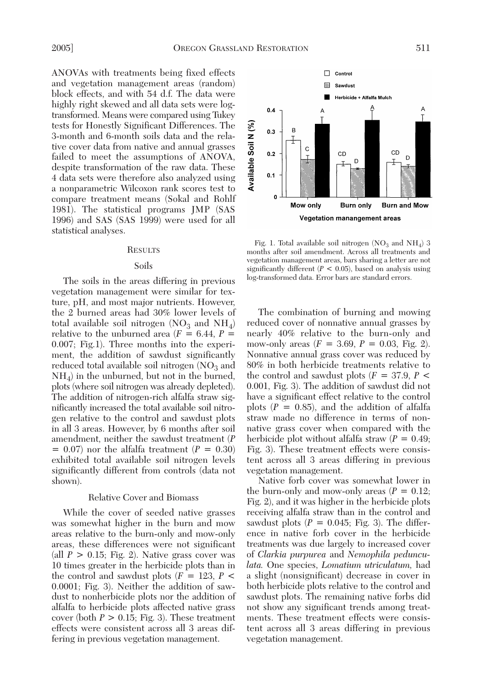ANOVAs with treatments being fixed effects and vegetation management areas (random) block effects, and with 54 d.f. The data were highly right skewed and all data sets were logtransformed. Means were compared using Tukey tests for Honestly Significant Differences. The 3-month and 6-month soils data and the relative cover data from native and annual grasses failed to meet the assumptions of ANOVA, despite transformation of the raw data. These 4 data sets were therefore also analyzed using a nonparametric Wilcoxon rank scores test to compare treatment means (Sokal and Rohlf 1981). The statistical programs JMP (SAS 1996) and SAS (SAS 1999) were used for all statistical analyses.

#### **RESULTS**

#### Soils

The soils in the areas differing in previous vegetation management were similar for texture, pH, and most major nutrients. However, the 2 burned areas had 30% lower levels of total available soil nitrogen ( $NO<sub>3</sub>$  and  $NH<sub>4</sub>$ ) relative to the unburned area  $(F = 6.44, P =$ 0.007; Fig.1). Three months into the experiment, the addition of sawdust significantly reduced total available soil nitrogen  $NO<sub>3</sub>$  and  $NH<sub>4</sub>$ ) in the unburned, but not in the burned, plots (where soil nitrogen was already depleted). The addition of nitrogen-rich alfalfa straw significantly increased the total available soil nitrogen relative to the control and sawdust plots in all 3 areas. However, by 6 months after soil amendment, neither the sawdust treatment (*P*  $= 0.07$  nor the alfalfa treatment ( $P = 0.30$ ) exhibited total available soil nitrogen levels significantly different from controls (data not shown).

## Relative Cover and Biomass

While the cover of seeded native grasses was somewhat higher in the burn and mow areas relative to the burn-only and mow-only areas, these differences were not significant (all  $P > 0.15$ ; Fig. 2). Native grass cover was 10 times greater in the herbicide plots than in the control and sawdust plots  $(F = 123, P \leq$ 0.0001; Fig. 3). Neither the addition of sawdust to nonherbicide plots nor the addition of alfalfa to herbicide plots affected native grass cover (both  $P > 0.15$ ; Fig. 3). These treatment effects were consistent across all 3 areas differing in previous vegetation management.



Fig. 1. Total available soil nitrogen  $NO<sub>3</sub>$  and NH<sub>4</sub>) 3 months after soil amendment. Across all treatments and vegetation management areas, bars sharing a letter are not significantly different  $(P < 0.05)$ , based on analysis using log-transformed data. Error bars are standard errors.

The combination of burning and mowing reduced cover of nonnative annual grasses by nearly 40% relative to the burn-only and mow-only areas  $(F = 3.69, P = 0.03, Fig. 2)$ . Nonnative annual grass cover was reduced by 80% in both herbicide treatments relative to the control and sawdust plots (*F* = 37.9, *P* < 0.001, Fig. 3). The addition of sawdust did not have a significant effect relative to the control plots  $(P = 0.85)$ , and the addition of alfalfa straw made no difference in terms of nonnative grass cover when compared with the herbicide plot without alfalfa straw  $(P = 0.49)$ ; Fig. 3). These treatment effects were consistent across all 3 areas differing in previous vegetation management.

Native forb cover was somewhat lower in the burn-only and mow-only areas  $(P = 0.12)$ ; Fig. 2), and it was higher in the herbicide plots receiving alfalfa straw than in the control and sawdust plots  $(P = 0.045;$  Fig. 3). The difference in native forb cover in the herbicide treatments was due largely to increased cover of *Clarkia purpurea* and *Nemophila pedunculata.* One species, *Lomatium utriculatum,* had a slight (nonsignificant) decrease in cover in both herbicide plots relative to the control and sawdust plots. The remaining native forbs did not show any significant trends among treatments. These treatment effects were consistent across all 3 areas differing in previous vegetation management.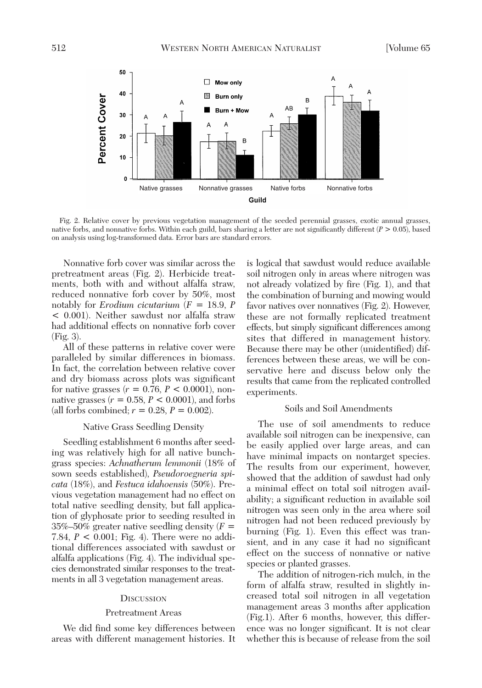

Fig. 2. Relative cover by previous vegetation management of the seeded perennial grasses, exotic annual grasses, native forbs, and nonnative forbs. Within each guild, bars sharing a letter are not significantly different (*P* > 0.05), based on analysis using log-transformed data. Error bars are standard errors.

Nonnative forb cover was similar across the pretreatment areas (Fig. 2). Herbicide treatments, both with and without alfalfa straw, reduced nonnative forb cover by 50%, most notably for *Erodium cicutarium* (*F* = 18.9, *P* < 0.001). Neither sawdust nor alfalfa straw had additional effects on nonnative forb cover (Fig. 3).

All of these patterns in relative cover were paralleled by similar differences in biomass. In fact, the correlation between relative cover and dry biomass across plots was significant for native grasses  $(r = 0.76, P < 0.0001)$ , nonnative grasses  $(r = 0.58, P \le 0.0001)$ , and forbs (all forbs combined;  $r = 0.28$ ,  $P = 0.002$ ).

#### Native Grass Seedling Density

Seedling establishment 6 months after seeding was relatively high for all native bunchgrass species: *Achnatherum lemmonii* (18% of sown seeds established), *Pseudoroegneria spicata* (18%), and *Festuca idahoensis* (50%). Previous vegetation management had no effect on total native seedling density, but fall application of glyphosate prior to seeding resulted in 35%–50% greater native seedling density (*F* = 7.84, *P* < 0.001; Fig. 4). There were no additional differences associated with sawdust or alfalfa applications (Fig. 4). The individual species demonstrated similar responses to the treatments in all 3 vegetation management areas.

#### **DISCUSSION**

#### Pretreatment Areas

We did find some key differences between areas with different management histories. It is logical that sawdust would reduce available soil nitrogen only in areas where nitrogen was not already volatized by fire (Fig. 1), and that the combination of burning and mowing would favor natives over nonnatives (Fig. 2). However, these are not formally replicated treatment effects, but simply significant differences among sites that differed in management history. Because there may be other (unidentified) differences between these areas, we will be conservative here and discuss below only the results that came from the replicated controlled experiments.

## Soils and Soil Amendments

The use of soil amendments to reduce available soil nitrogen can be inexpensive, can be easily applied over large areas, and can have minimal impacts on nontarget species. The results from our experiment, however, showed that the addition of sawdust had only a minimal effect on total soil nitrogen availability; a significant reduction in available soil nitrogen was seen only in the area where soil nitrogen had not been reduced previously by burning (Fig. 1). Even this effect was transient, and in any case it had no significant effect on the success of nonnative or native species or planted grasses.

The addition of nitrogen-rich mulch, in the form of alfalfa straw, resulted in slightly increased total soil nitrogen in all vegetation management areas 3 months after application (Fig.1). After 6 months, however, this difference was no longer significant. It is not clear whether this is because of release from the soil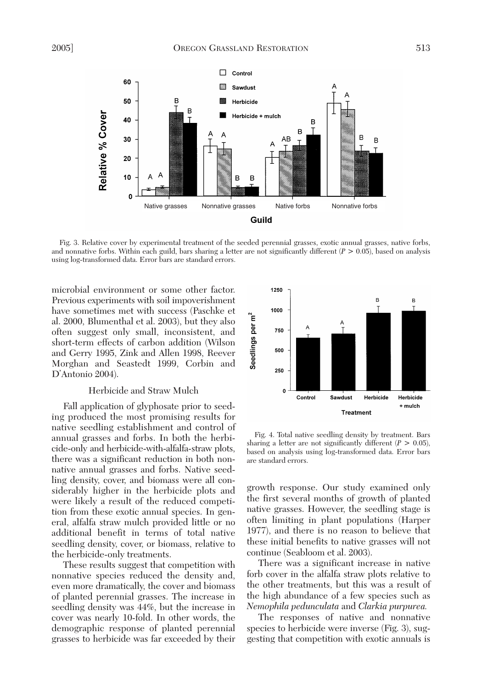

Fig. 3. Relative cover by experimental treatment of the seeded perennial grasses, exotic annual grasses, native forbs, and nonnative forbs. Within each guild, bars sharing a letter are not significantly different  $(P > 0.05)$ , based on analysis using log-transformed data. Error bars are standard errors.

microbial environment or some other factor. Previous experiments with soil impoverishment have sometimes met with success (Paschke et al. 2000, Blumenthal et al. 2003), but they also often suggest only small, inconsistent, and short-term effects of carbon addition (Wilson and Gerry 1995, Zink and Allen 1998, Reever Morghan and Seastedt 1999, Corbin and D'Antonio 2004).

## Herbicide and Straw Mulch

Fall application of glyphosate prior to seeding produced the most promising results for native seedling establishment and control of annual grasses and forbs. In both the herbicide-only and herbicide-with-alfalfa-straw plots, there was a significant reduction in both nonnative annual grasses and forbs. Native seedling density, cover, and biomass were all considerably higher in the herbicide plots and were likely a result of the reduced competition from these exotic annual species. In general, alfalfa straw mulch provided little or no additional benefit in terms of total native seedling density, cover, or biomass, relative to the herbicide-only treatments.

These results suggest that competition with nonnative species reduced the density and, even more dramatically, the cover and biomass of planted perennial grasses. The increase in seedling density was 44%, but the increase in cover was nearly 10-fold. In other words, the demographic response of planted perennial grasses to herbicide was far exceeded by their



Fig. 4. Total native seedling density by treatment. Bars sharing a letter are not significantly different  $(P > 0.05)$ , based on analysis using log-transformed data. Error bars are standard errors.

growth response. Our study examined only the first several months of growth of planted native grasses. However, the seedling stage is often limiting in plant populations (Harper 1977), and there is no reason to believe that these initial benefits to native grasses will not continue (Seabloom et al. 2003).

There was a significant increase in native forb cover in the alfalfa straw plots relative to the other treatments, but this was a result of the high abundance of a few species such as *Nemophila pedunculata* and *Clarkia purpurea.*

The responses of native and nonnative species to herbicide were inverse (Fig. 3), suggesting that competition with exotic annuals is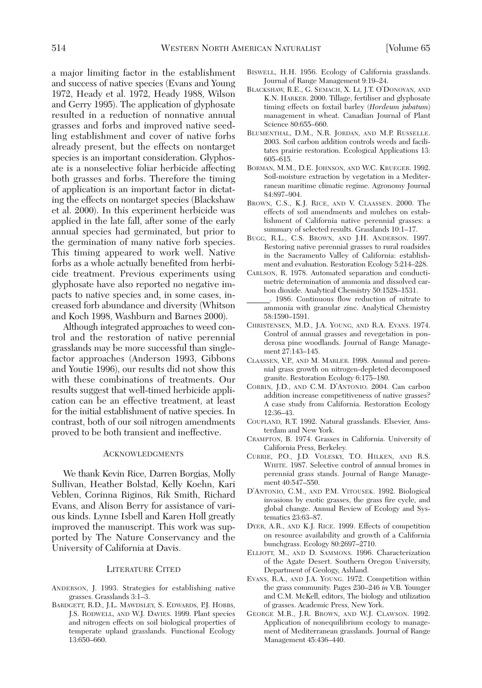a major limiting factor in the establishment and success of native species (Evans and Young 1972, Heady et al. 1972, Heady 1988, Wilson and Gerry 1995). The application of glyphosate resulted in a reduction of nonnative annual grasses and forbs and improved native seedling establishment and cover of native forbs already present, but the effects on nontarget species is an important consideration. Glyphosate is a nonselective foliar herbicide affecting both grasses and forbs. Therefore the timing of application is an important factor in dictating the effects on nontarget species (Blackshaw et al. 2000). In this experiment herbicide was applied in the late fall, after some of the early annual species had germinated, but prior to the germination of many native forb species. This timing appeared to work well. Native forbs as a whole actually benefited from herbicide treatment. Previous experiments using glyphosate have also reported no negative impacts to native species and, in some cases, increased forb abundance and diversity (Whitson and Koch 1998, Washburn and Barnes 2000).

Although integrated approaches to weed control and the restoration of native perennial grasslands may be more successful than singlefactor approaches (Anderson 1993, Gibbons and Youtie 1996), our results did not show this with these combinations of treatments. Our results suggest that well-timed herbicide application can be an effective treatment, at least for the initial establishment of native species. In contrast, both of our soil nitrogen amendments proved to be both transient and ineffective.

#### ACKNOWLEDGMENTS

We thank Kevin Rice, Darren Borgias, Molly Sullivan, Heather Bolstad, Kelly Koehn, Kari Veblen, Corinna Riginos, Rik Smith, Richard Evans, and Alison Berry for assistance of various kinds. Lynne Isbell and Karen Holl greatly improved the manuscript. This work was supported by The Nature Conservancy and the University of California at Davis.

#### LITERATURE CITED

- ANDERSON, J. 1993. Strategies for establishing native grasses. Grasslands 3:1–3.
- BARDGETT, R.D., J.L. MAWDSLEY, S. EDWARDS, P.J. HOBBS, J.S. RODWELL, AND W.J. DAVIES. 1999. Plant species and nitrogen effects on soil biological properties of temperate upland grasslands. Functional Ecology 13:650–660.
- BISWELL, H.H. 1956. Ecology of California grasslands. Journal of Range Management 9:19–24.
- BLACKSHAW, R.E., G. SEMACH, X. LI, J.T. O'DONOVAN, AND K.N. HARKER. 2000. Tillage, fertiliser and glyphosate timing effects on foxtail barley (*Hordeum jubatum*) management in wheat. Canadian Journal of Plant Science 80:655–660.
- BLUMENTHAL, D.M., N.R. JORDAN, AND M.P. RUSSELLE. 2003. Soil carbon addition controls weeds and facilitates prairie restoration. Ecological Applications 13: 605–615.
- BORMAN, M.M., D.E. JOHNSON, AND W.C. KRUEGER. 1992. Soil-moisture extraction by vegetation in a Mediterranean maritime climatic regime. Agronomy Journal 84:897–904.
- BROWN, C.S., K.J. RICE, AND V. CLAASSEN. 2000. The effects of soil amendments and mulches on establishment of California native perennial grasses: a summary of selected results. Grasslands 10:1–17.
- BUGG, R.L., C.S. BROWN, AND J.H. ANDERSON. 1997. Restoring native perennial grasses to rural roadsides in the Sacramento Valley of California: establishment and evaluation. Restoration Ecology 5:214–228.
- CARLSON, R. 1978. Automated separation and conductimetric determination of ammonia and dissolved carbon dioxide. Analytical Chemistry 50:1528–1531.
- \_\_\_\_\_\_. 1986. Continuous flow reduction of nitrate to ammonia with granular zinc. Analytical Chemistry 58:1590–1591.
- CHRISTENSEN, M.D., J.A. YOUNG, AND R.A. EVANS. 1974. Control of annual grasses and revegetation in ponderosa pine woodlands. Journal of Range Management 27:143–145.
- CLAASSEN, V.P., AND M. MARLER. 1998. Annual and perennial grass growth on nitrogen-depleted decomposed granite. Restoration Ecology 6:175–180.
- CORBIN, J.D., AND C.M. D'ANTONIO. 2004. Can carbon addition increase competitiveness of native grasses? A case study from California. Restoration Ecology 12:36–43.
- COUPLAND, R.T. 1992. Natural grasslands. Elsevier, Amsterdam and New York.
- CRAMPTON, B. 1974. Grasses in California. University of California Press, Berkeley.
- CURRIE, P.O., J.D. VOLESKY, T.O. HILKEN, AND R.S. WHITE. 1987. Selective control of annual bromes in perennial grass stands. Journal of Range Management 40:547–550.
- D'ANTONIO, C.M., AND P.M. VITOUSEK. 1992. Biological invasions by exotic grasses, the grass fire cycle, and global change. Annual Review of Ecology and Systematics 23:63–87.
- DYER, A.R., AND K.J. RICE. 1999. Effects of competition on resource availability and growth of a California bunchgrass. Ecology 80:2697–2710.
- ELLIOTT, M., AND D. SAMMONS. 1996. Characterization of the Agate Desert. Southern Oregon University, Department of Geology, Ashland.
- EVANS, R.A., AND J.A. YOUNG. 1972. Competition within the grass community. Pages 230–246 *in* V.B. Younger and C.M. McKell, editors, The biology and utilization of grasses. Academic Press, New York.
- GEORGE M.R., J.R. BROWN, AND W.J. CLAWSON. 1992. Application of nonequilibrium ecology to management of Mediterranean grasslands. Journal of Range Management 45:436–440.